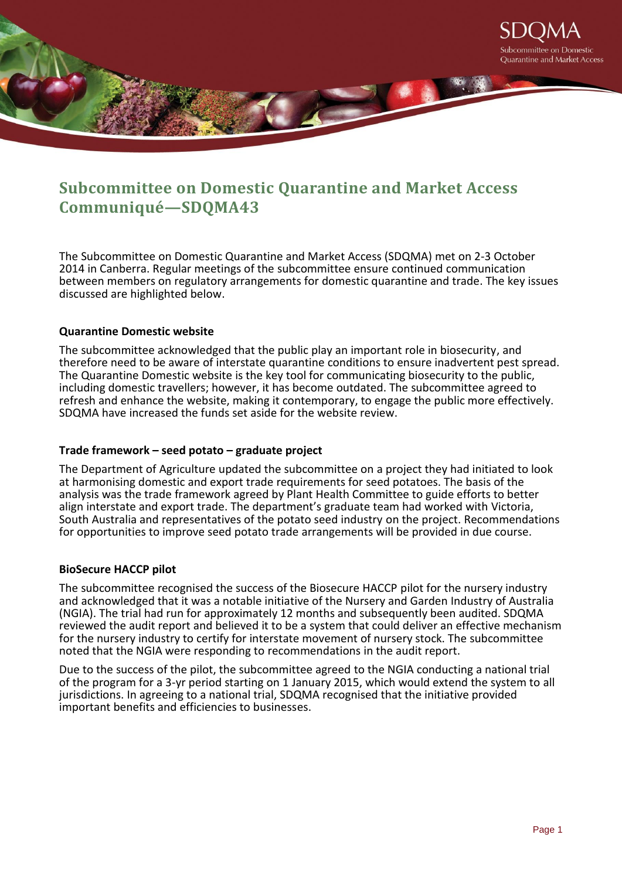

# **Subcommittee on Domestic Quarantine and Market Access Communiqué—SDQMA43**

The Subcommittee on Domestic Quarantine and Market Access (SDQMA) met on 2-3 October 2014 in Canberra. Regular meetings of the subcommittee ensure continued communication between members on regulatory arrangements for domestic quarantine and trade. The key issues discussed are highlighted below.

## **Quarantine Domestic website**

The subcommittee acknowledged that the public play an important role in biosecurity, and therefore need to be aware of interstate quarantine conditions to ensure inadvertent pest spread. The Quarantine Domestic website is the key tool for communicating biosecurity to the public, including domestic travellers; however, it has become outdated. The subcommittee agreed to refresh and enhance the website, making it contemporary, to engage the public more effectively. SDQMA have increased the funds set aside for the website review.

## **Trade framework – seed potato – graduate project**

The Department of Agriculture updated the subcommittee on a project they had initiated to look at harmonising domestic and export trade requirements for seed potatoes. The basis of the analysis was the trade framework agreed by Plant Health Committee to guide efforts to better align interstate and export trade. The department's graduate team had worked with Victoria, South Australia and representatives of the potato seed industry on the project. Recommendations for opportunities to improve seed potato trade arrangements will be provided in due course.

#### **BioSecure HACCP pilot**

The subcommittee recognised the success of the Biosecure HACCP pilot for the nursery industry and acknowledged that it was a notable initiative of the Nursery and Garden Industry of Australia (NGIA). The trial had run for approximately 12 months and subsequently been audited. SDQMA reviewed the audit report and believed it to be a system that could deliver an effective mechanism for the nursery industry to certify for interstate movement of nursery stock. The subcommittee noted that the NGIA were responding to recommendations in the audit report.

Due to the success of the pilot, the subcommittee agreed to the NGIA conducting a national trial of the program for a 3-yr period starting on 1 January 2015, which would extend the system to all jurisdictions. In agreeing to a national trial, SDQMA recognised that the initiative provided important benefits and efficiencies to businesses.